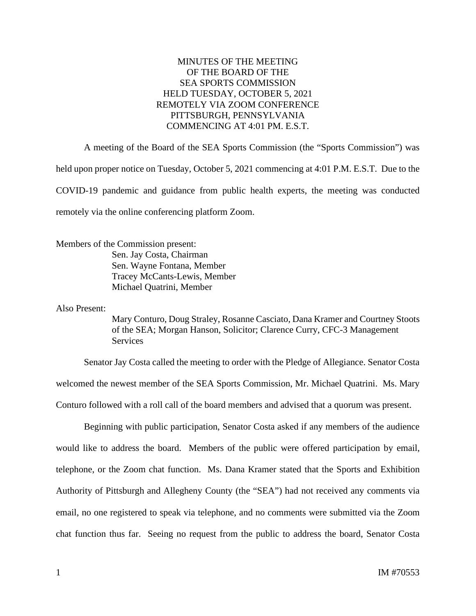## MINUTES OF THE MEETING OF THE BOARD OF THE SEA SPORTS COMMISSION HELD TUESDAY, OCTOBER 5, 2021 REMOTELY VIA ZOOM CONFERENCE PITTSBURGH, PENNSYLVANIA COMMENCING AT 4:01 PM. E.S.T.

A meeting of the Board of the SEA Sports Commission (the "Sports Commission") was held upon proper notice on Tuesday, October 5, 2021 commencing at 4:01 P.M. E.S.T. Due to the COVID-19 pandemic and guidance from public health experts, the meeting was conducted remotely via the online conferencing platform Zoom.

Members of the Commission present: Sen. Jay Costa, Chairman Sen. Wayne Fontana, Member Tracey McCants-Lewis, Member Michael Quatrini, Member

Also Present:

Mary Conturo, Doug Straley, Rosanne Casciato, Dana Kramer and Courtney Stoots of the SEA; Morgan Hanson, Solicitor; Clarence Curry, CFC-3 Management **Services** 

Senator Jay Costa called the meeting to order with the Pledge of Allegiance. Senator Costa welcomed the newest member of the SEA Sports Commission, Mr. Michael Quatrini. Ms. Mary Conturo followed with a roll call of the board members and advised that a quorum was present.

Beginning with public participation, Senator Costa asked if any members of the audience would like to address the board. Members of the public were offered participation by email, telephone, or the Zoom chat function. Ms. Dana Kramer stated that the Sports and Exhibition Authority of Pittsburgh and Allegheny County (the "SEA") had not received any comments via email, no one registered to speak via telephone, and no comments were submitted via the Zoom chat function thus far. Seeing no request from the public to address the board, Senator Costa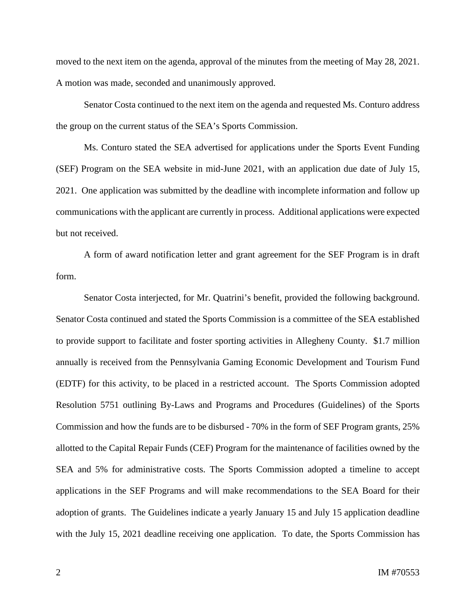moved to the next item on the agenda, approval of the minutes from the meeting of May 28, 2021. A motion was made, seconded and unanimously approved.

Senator Costa continued to the next item on the agenda and requested Ms. Conturo address the group on the current status of the SEA's Sports Commission.

Ms. Conturo stated the SEA advertised for applications under the Sports Event Funding (SEF) Program on the SEA website in mid-June 2021, with an application due date of July 15, 2021. One application was submitted by the deadline with incomplete information and follow up communications with the applicant are currently in process. Additional applications were expected but not received.

A form of award notification letter and grant agreement for the SEF Program is in draft form.

Senator Costa interjected, for Mr. Quatrini's benefit, provided the following background. Senator Costa continued and stated the Sports Commission is a committee of the SEA established to provide support to facilitate and foster sporting activities in Allegheny County. \$1.7 million annually is received from the Pennsylvania Gaming Economic Development and Tourism Fund (EDTF) for this activity, to be placed in a restricted account. The Sports Commission adopted Resolution 5751 outlining By-Laws and Programs and Procedures (Guidelines) of the Sports Commission and how the funds are to be disbursed - 70% in the form of SEF Program grants, 25% allotted to the Capital Repair Funds (CEF) Program for the maintenance of facilities owned by the SEA and 5% for administrative costs. The Sports Commission adopted a timeline to accept applications in the SEF Programs and will make recommendations to the SEA Board for their adoption of grants. The Guidelines indicate a yearly January 15 and July 15 application deadline with the July 15, 2021 deadline receiving one application. To date, the Sports Commission has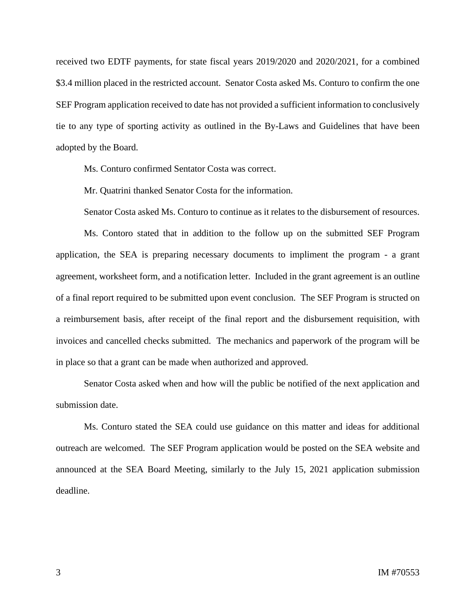received two EDTF payments, for state fiscal years 2019/2020 and 2020/2021, for a combined \$3.4 million placed in the restricted account. Senator Costa asked Ms. Conturo to confirm the one SEF Program application received to date has not provided a sufficient information to conclusively tie to any type of sporting activity as outlined in the By-Laws and Guidelines that have been adopted by the Board.

Ms. Conturo confirmed Sentator Costa was correct.

Mr. Quatrini thanked Senator Costa for the information.

Senator Costa asked Ms. Conturo to continue as it relates to the disbursement of resources.

Ms. Contoro stated that in addition to the follow up on the submitted SEF Program application, the SEA is preparing necessary documents to impliment the program - a grant agreement, worksheet form, and a notification letter. Included in the grant agreement is an outline of a final report required to be submitted upon event conclusion. The SEF Program is structed on a reimbursement basis, after receipt of the final report and the disbursement requisition, with invoices and cancelled checks submitted. The mechanics and paperwork of the program will be in place so that a grant can be made when authorized and approved.

Senator Costa asked when and how will the public be notified of the next application and submission date.

Ms. Conturo stated the SEA could use guidance on this matter and ideas for additional outreach are welcomed. The SEF Program application would be posted on the SEA website and announced at the SEA Board Meeting, similarly to the July 15, 2021 application submission deadline.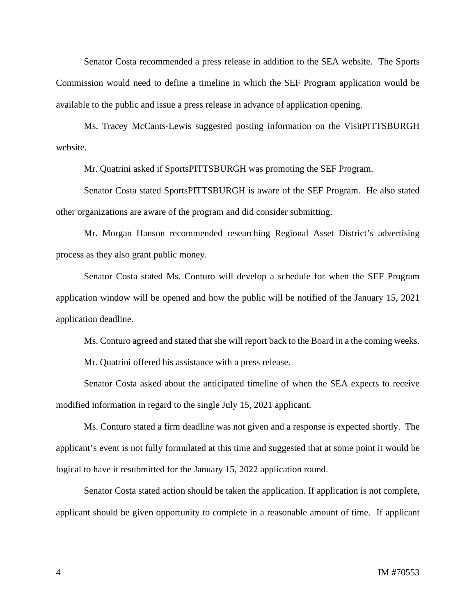Senator Costa recommended a press release in addition to the SEA website. The Sports Commission would need to define a timeline in which the SEF Program application would be available to the public and issue a press release in advance of application opening.

Ms. Tracey McCants-Lewis suggested posting information on the VisitPITTSBURGH website.

Mr. Quatrini asked if SportsPITTSBURGH was promoting the SEF Program.

Senator Costa stated SportsPITTSBURGH is aware of the SEF Program. He also stated other organizations are aware of the program and did consider submitting.

Mr. Morgan Hanson recommended researching Regional Asset District's advertising process as they also grant public money.

Senator Costa stated Ms. Conturo will develop a schedule for when the SEF Program application window will be opened and how the public will be notified of the January 15, 2021 application deadline.

Ms. Conturo agreed and stated that she will report back to the Board in a the coming weeks.

Mr. Quatrini offered his assistance with a press release.

Senator Costa asked about the anticipated timeline of when the SEA expects to receive modified information in regard to the single July 15, 2021 applicant.

Ms. Conturo stated a firm deadline was not given and a response is expected shortly. The applicant's event is not fully formulated at this time and suggested that at some point it would be logical to have it resubmitted for the January 15, 2022 application round.

Senator Costa stated action should be taken the application. If application is not complete, applicant should be given opportunity to complete in a reasonable amount of time. If applicant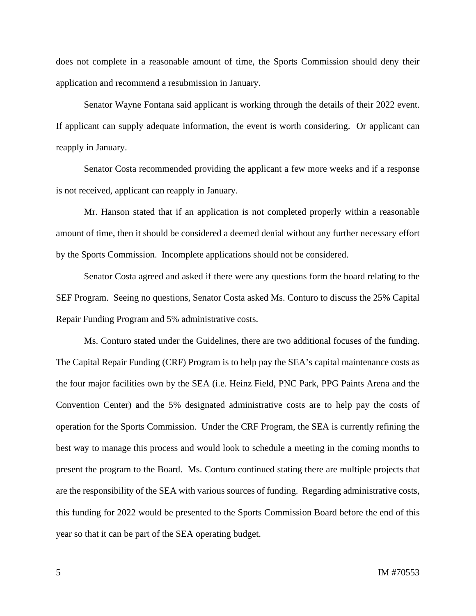does not complete in a reasonable amount of time, the Sports Commission should deny their application and recommend a resubmission in January.

Senator Wayne Fontana said applicant is working through the details of their 2022 event. If applicant can supply adequate information, the event is worth considering. Or applicant can reapply in January.

Senator Costa recommended providing the applicant a few more weeks and if a response is not received, applicant can reapply in January.

Mr. Hanson stated that if an application is not completed properly within a reasonable amount of time, then it should be considered a deemed denial without any further necessary effort by the Sports Commission. Incomplete applications should not be considered.

Senator Costa agreed and asked if there were any questions form the board relating to the SEF Program. Seeing no questions, Senator Costa asked Ms. Conturo to discuss the 25% Capital Repair Funding Program and 5% administrative costs.

Ms. Conturo stated under the Guidelines, there are two additional focuses of the funding. The Capital Repair Funding (CRF) Program is to help pay the SEA's capital maintenance costs as the four major facilities own by the SEA (i.e. Heinz Field, PNC Park, PPG Paints Arena and the Convention Center) and the 5% designated administrative costs are to help pay the costs of operation for the Sports Commission. Under the CRF Program, the SEA is currently refining the best way to manage this process and would look to schedule a meeting in the coming months to present the program to the Board. Ms. Conturo continued stating there are multiple projects that are the responsibility of the SEA with various sources of funding. Regarding administrative costs, this funding for 2022 would be presented to the Sports Commission Board before the end of this year so that it can be part of the SEA operating budget.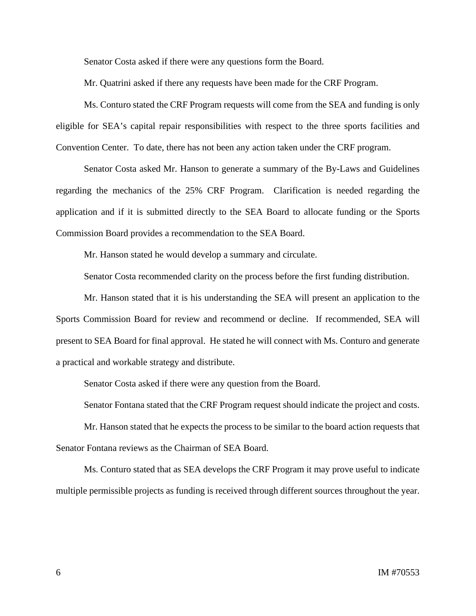Senator Costa asked if there were any questions form the Board.

Mr. Quatrini asked if there any requests have been made for the CRF Program.

Ms. Conturo stated the CRF Program requests will come from the SEA and funding is only eligible for SEA's capital repair responsibilities with respect to the three sports facilities and Convention Center. To date, there has not been any action taken under the CRF program.

Senator Costa asked Mr. Hanson to generate a summary of the By-Laws and Guidelines regarding the mechanics of the 25% CRF Program. Clarification is needed regarding the application and if it is submitted directly to the SEA Board to allocate funding or the Sports Commission Board provides a recommendation to the SEA Board.

Mr. Hanson stated he would develop a summary and circulate.

Senator Costa recommended clarity on the process before the first funding distribution.

Mr. Hanson stated that it is his understanding the SEA will present an application to the Sports Commission Board for review and recommend or decline. If recommended, SEA will present to SEA Board for final approval. He stated he will connect with Ms. Conturo and generate a practical and workable strategy and distribute.

Senator Costa asked if there were any question from the Board.

Senator Fontana stated that the CRF Program request should indicate the project and costs.

Mr. Hanson stated that he expects the process to be similar to the board action requests that Senator Fontana reviews as the Chairman of SEA Board.

Ms. Conturo stated that as SEA develops the CRF Program it may prove useful to indicate multiple permissible projects as funding is received through different sources throughout the year.